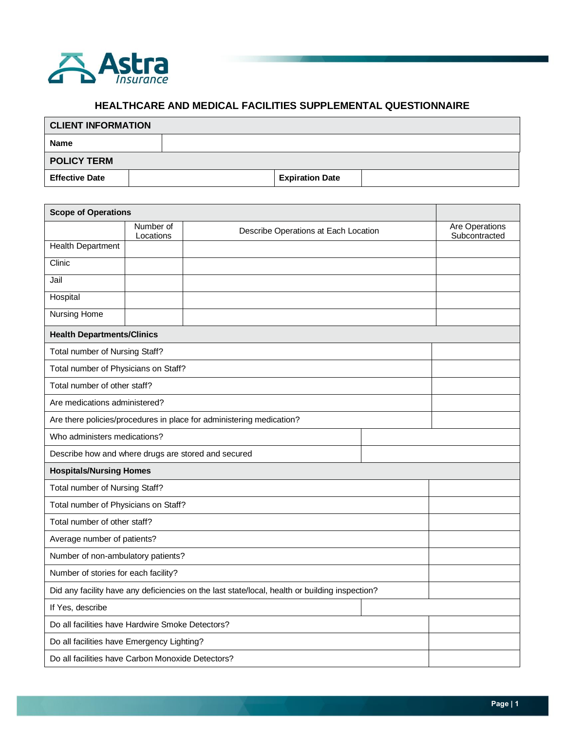

## **HEALTHCARE AND MEDICAL FACILITIES SUPPLEMENTAL QUESTIONNAIRE**

| <b>CLIENT INFORMATION</b> |  |  |                        |  |  |  |
|---------------------------|--|--|------------------------|--|--|--|
| <b>Name</b>               |  |  |                        |  |  |  |
| <b>POLICY TERM</b>        |  |  |                        |  |  |  |
| <b>Effective Date</b>     |  |  | <b>Expiration Date</b> |  |  |  |

| <b>Scope of Operations</b>                                                                     |                        |                                      |  |                                 |  |  |
|------------------------------------------------------------------------------------------------|------------------------|--------------------------------------|--|---------------------------------|--|--|
|                                                                                                | Number of<br>Locations | Describe Operations at Each Location |  | Are Operations<br>Subcontracted |  |  |
| <b>Health Department</b>                                                                       |                        |                                      |  |                                 |  |  |
| Clinic                                                                                         |                        |                                      |  |                                 |  |  |
| Jail                                                                                           |                        |                                      |  |                                 |  |  |
| Hospital                                                                                       |                        |                                      |  |                                 |  |  |
| <b>Nursing Home</b>                                                                            |                        |                                      |  |                                 |  |  |
| <b>Health Departments/Clinics</b>                                                              |                        |                                      |  |                                 |  |  |
| Total number of Nursing Staff?                                                                 |                        |                                      |  |                                 |  |  |
| Total number of Physicians on Staff?                                                           |                        |                                      |  |                                 |  |  |
| Total number of other staff?                                                                   |                        |                                      |  |                                 |  |  |
| Are medications administered?                                                                  |                        |                                      |  |                                 |  |  |
| Are there policies/procedures in place for administering medication?                           |                        |                                      |  |                                 |  |  |
| Who administers medications?                                                                   |                        |                                      |  |                                 |  |  |
| Describe how and where drugs are stored and secured                                            |                        |                                      |  |                                 |  |  |
| <b>Hospitals/Nursing Homes</b>                                                                 |                        |                                      |  |                                 |  |  |
| Total number of Nursing Staff?                                                                 |                        |                                      |  |                                 |  |  |
| Total number of Physicians on Staff?                                                           |                        |                                      |  |                                 |  |  |
| Total number of other staff?                                                                   |                        |                                      |  |                                 |  |  |
| Average number of patients?                                                                    |                        |                                      |  |                                 |  |  |
| Number of non-ambulatory patients?                                                             |                        |                                      |  |                                 |  |  |
| Number of stories for each facility?                                                           |                        |                                      |  |                                 |  |  |
| Did any facility have any deficiencies on the last state/local, health or building inspection? |                        |                                      |  |                                 |  |  |
| If Yes, describe                                                                               |                        |                                      |  |                                 |  |  |
| Do all facilities have Hardwire Smoke Detectors?                                               |                        |                                      |  |                                 |  |  |
| Do all facilities have Emergency Lighting?                                                     |                        |                                      |  |                                 |  |  |
| Do all facilities have Carbon Monoxide Detectors?                                              |                        |                                      |  |                                 |  |  |